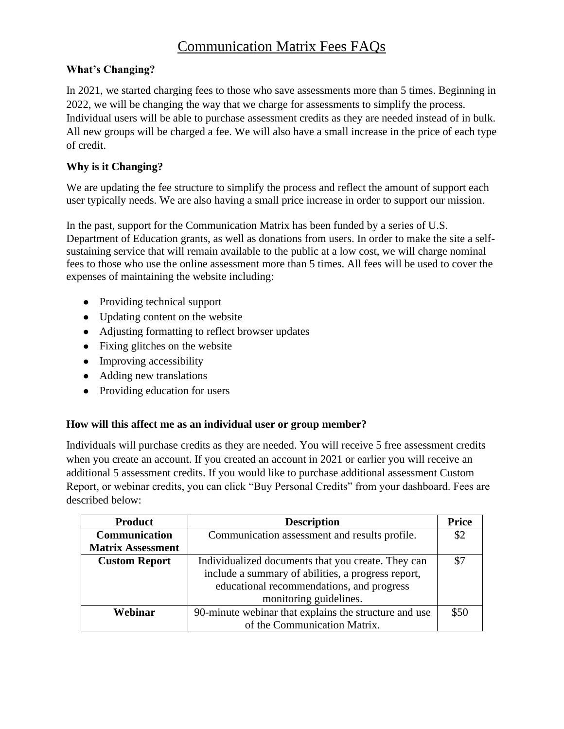# Communication Matrix Fees FAQs

# **What's Changing?**

In 2021, we started charging fees to those who save assessments more than 5 times. Beginning in 2022, we will be changing the way that we charge for assessments to simplify the process. Individual users will be able to purchase assessment credits as they are needed instead of in bulk. All new groups will be charged a fee. We will also have a small increase in the price of each type of credit.

# **Why is it Changing?**

We are updating the fee structure to simplify the process and reflect the amount of support each user typically needs. We are also having a small price increase in order to support our mission.

In the past, support for the Communication Matrix has been funded by a series of U.S. Department of Education grants, as well as donations from users. In order to make the site a selfsustaining service that will remain available to the public at a low cost, we will charge nominal fees to those who use the online assessment more than 5 times. All fees will be used to cover the expenses of maintaining the website including:

- Providing technical support
- Updating content on the website
- Adjusting formatting to reflect browser updates
- $\bullet$  Fixing glitches on the website
- Improving accessibility
- Adding new translations
- Providing education for users

## **How will this affect me as an individual user or group member?**

Individuals will purchase credits as they are needed. You will receive 5 free assessment credits when you create an account. If you created an account in 2021 or earlier you will receive an additional 5 assessment credits. If you would like to purchase additional assessment Custom Report, or webinar credits, you can click "Buy Personal Credits" from your dashboard. Fees are described below:

| <b>Product</b>           | <b>Description</b>                                    | <b>Price</b> |
|--------------------------|-------------------------------------------------------|--------------|
| Communication            | Communication assessment and results profile.         | \$2          |
| <b>Matrix Assessment</b> |                                                       |              |
| <b>Custom Report</b>     | Individualized documents that you create. They can    | \$7          |
|                          | include a summary of abilities, a progress report,    |              |
|                          | educational recommendations, and progress             |              |
|                          | monitoring guidelines.                                |              |
| Webinar                  | 90-minute webinar that explains the structure and use | \$50         |
|                          | of the Communication Matrix.                          |              |